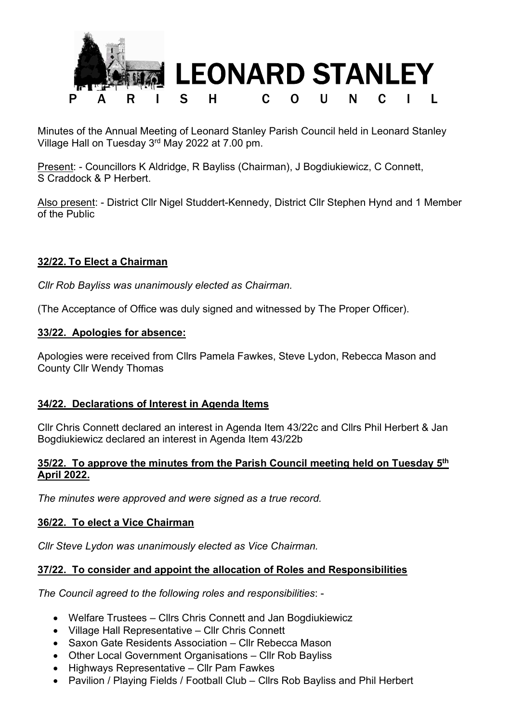

Minutes of the Annual Meeting of Leonard Stanley Parish Council held in Leonard Stanley Village Hall on Tuesday 3rd May 2022 at 7.00 pm.

Present: - Councillors K Aldridge, R Bayliss (Chairman), J Bogdiukiewicz, C Connett, S Craddock & P Herbert.

Also present: - District Cllr Nigel Studdert-Kennedy, District Cllr Stephen Hynd and 1 Member of the Public

# 32/22. To Elect a Chairman

Cllr Rob Bayliss was unanimously elected as Chairman.

(The Acceptance of Office was duly signed and witnessed by The Proper Officer).

#### 33/22. Apologies for absence:

Apologies were received from Cllrs Pamela Fawkes, Steve Lydon, Rebecca Mason and County Cllr Wendy Thomas

## 34/22. Declarations of Interest in Agenda Items

Cllr Chris Connett declared an interest in Agenda Item 43/22c and Cllrs Phil Herbert & Jan Bogdiukiewicz declared an interest in Agenda Item 43/22b

#### 35/22. To approve the minutes from the Parish Council meeting held on Tuesday  $5<sup>th</sup>$ April 2022.

The minutes were approved and were signed as a true record.

## 36/22. To elect a Vice Chairman

Cllr Steve Lydon was unanimously elected as Vice Chairman.

## 37/22. To consider and appoint the allocation of Roles and Responsibilities

The Council agreed to the following roles and responsibilities: -

- Welfare Trustees Cllrs Chris Connett and Jan Bogdiukiewicz
- Village Hall Representative Cllr Chris Connett
- Saxon Gate Residents Association Cllr Rebecca Mason
- Other Local Government Organisations Cllr Rob Bayliss
- Highways Representative Cllr Pam Fawkes
- Pavilion / Playing Fields / Football Club Cllrs Rob Bayliss and Phil Herbert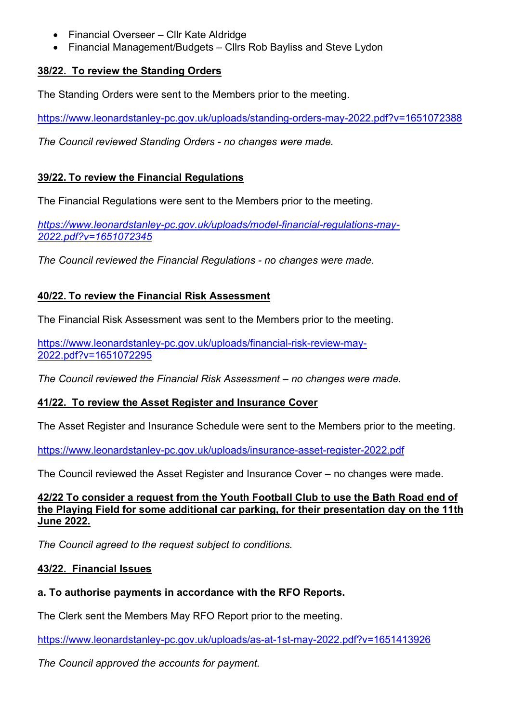- Financial Overseer Cllr Kate Aldridge
- Financial Management/Budgets Cllrs Rob Bayliss and Steve Lydon

## 38/22. To review the Standing Orders

The Standing Orders were sent to the Members prior to the meeting.

https://www.leonardstanley-pc.gov.uk/uploads/standing-orders-may-2022.pdf?v=1651072388

The Council reviewed Standing Orders - no changes were made.

# 39/22. To review the Financial Regulations

The Financial Regulations were sent to the Members prior to the meeting.

https://www.leonardstanley-pc.gov.uk/uploads/model-financial-regulations-may-2022.pdf?v=1651072345

The Council reviewed the Financial Regulations - no changes were made.

# 40/22. To review the Financial Risk Assessment

The Financial Risk Assessment was sent to the Members prior to the meeting.

https://www.leonardstanley-pc.gov.uk/uploads/financial-risk-review-may-2022.pdf?v=1651072295

The Council reviewed the Financial Risk Assessment – no changes were made.

## 41/22. To review the Asset Register and Insurance Cover

The Asset Register and Insurance Schedule were sent to the Members prior to the meeting.

https://www.leonardstanley-pc.gov.uk/uploads/insurance-asset-register-2022.pdf

The Council reviewed the Asset Register and Insurance Cover – no changes were made.

#### 42/22 To consider a request from the Youth Football Club to use the Bath Road end of the Playing Field for some additional car parking, for their presentation day on the 11th June 2022.

The Council agreed to the request subject to conditions.

## 43/22. Financial Issues

## a. To authorise payments in accordance with the RFO Reports.

The Clerk sent the Members May RFO Report prior to the meeting.

https://www.leonardstanley-pc.gov.uk/uploads/as-at-1st-may-2022.pdf?v=1651413926

The Council approved the accounts for payment.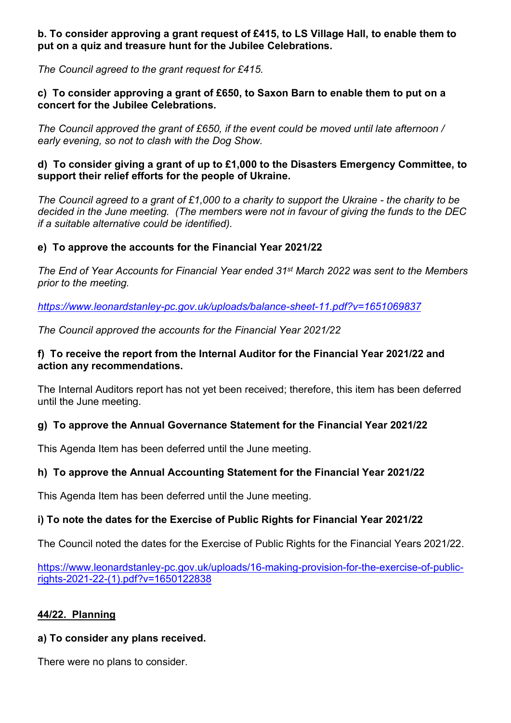### b. To consider approving a grant request of £415, to LS Village Hall, to enable them to put on a quiz and treasure hunt for the Jubilee Celebrations.

The Council agreed to the grant request for £415.

#### c) To consider approving a grant of £650, to Saxon Barn to enable them to put on a concert for the Jubilee Celebrations.

The Council approved the grant of £650, if the event could be moved until late afternoon / early evening, so not to clash with the Dog Show.

#### d) To consider giving a grant of up to £1,000 to the Disasters Emergency Committee, to support their relief efforts for the people of Ukraine.

The Council agreed to a grant of £1,000 to a charity to support the Ukraine - the charity to be decided in the June meeting. (The members were not in favour of giving the funds to the DEC if a suitable alternative could be identified).

## e) To approve the accounts for the Financial Year 2021/22

The End of Year Accounts for Financial Year ended 31st March 2022 was sent to the Members prior to the meeting.

https://www.leonardstanley-pc.gov.uk/uploads/balance-sheet-11.pdf?v=1651069837

The Council approved the accounts for the Financial Year 2021/22

### f) To receive the report from the Internal Auditor for the Financial Year 2021/22 and action any recommendations.

The Internal Auditors report has not yet been received; therefore, this item has been deferred until the June meeting.

## g) To approve the Annual Governance Statement for the Financial Year 2021/22

This Agenda Item has been deferred until the June meeting.

## h) To approve the Annual Accounting Statement for the Financial Year 2021/22

This Agenda Item has been deferred until the June meeting.

## i) To note the dates for the Exercise of Public Rights for Financial Year 2021/22

The Council noted the dates for the Exercise of Public Rights for the Financial Years 2021/22.

https://www.leonardstanley-pc.gov.uk/uploads/16-making-provision-for-the-exercise-of-publicrights-2021-22-(1).pdf?v=1650122838

## 44/22. Planning

## a) To consider any plans received.

There were no plans to consider.